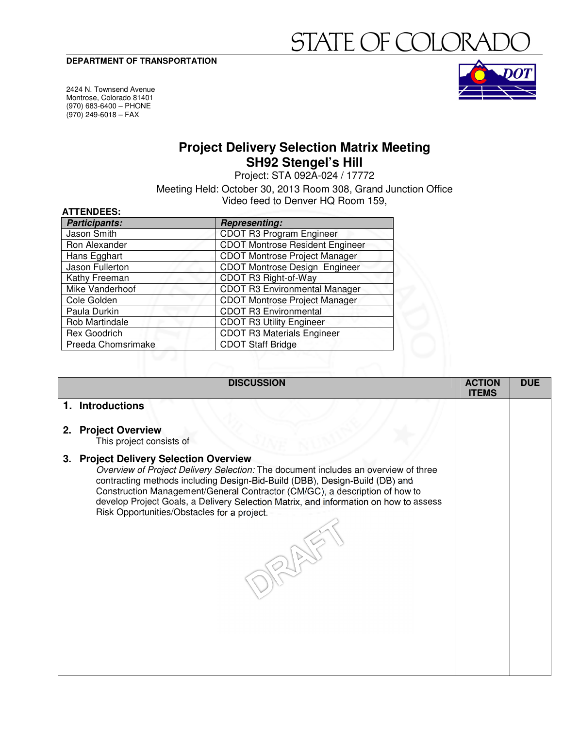#### **DEPARTMENT OF TRANSPORTATION**

# FATE OF COL

2424 N. Townsend Avenue Montrose, Colorado 81401 (970) 683-6400 – PHONE  $(970)$  249-6018 – FAX

**ATTENDEES:** 



## **Project Delivery Selection Matrix Meeting SH92 Stengel's Hill**

Project: STA 092A-024 / 17772

Meeting Held: October 30, 2013 Room 308, Grand Junction Office Video feed to Denver HQ Room 159,

| <b>Participants:</b>   | <b>Representing:</b>                   |
|------------------------|----------------------------------------|
| Jason Smith            | <b>CDOT R3 Program Engineer</b>        |
| Ron Alexander          | <b>CDOT Montrose Resident Engineer</b> |
| Hans Egghart           | <b>CDOT Montrose Project Manager</b>   |
| Jason Fullerton        | <b>CDOT Montrose Design Engineer</b>   |
| Kathy Freeman          | CDOT R3 Right-of-Way                   |
| <b>Mike Vanderhoof</b> | <b>CDOT R3 Environmental Manager</b>   |
| Cole Golden            | <b>CDOT Montrose Project Manager</b>   |
| Paula Durkin           | <b>CDOT R3 Environmental</b>           |
| Rob Martindale         | <b>CDOT R3 Utility Engineer</b>        |
| Rex Goodrich           | <b>CDOT R3 Materials Engineer</b>      |
| Preeda Chomsrimake     | <b>CDOT Staff Bridge</b>               |

|    | <b>DISCUSSION</b>                                                                                                                                                                                                                                                                                                                                                                                                                     | <b>ACTION</b><br><b>ITEMS</b> | <b>DUE</b> |
|----|---------------------------------------------------------------------------------------------------------------------------------------------------------------------------------------------------------------------------------------------------------------------------------------------------------------------------------------------------------------------------------------------------------------------------------------|-------------------------------|------------|
|    | 1. Introductions                                                                                                                                                                                                                                                                                                                                                                                                                      |                               |            |
|    | 2. Project Overview<br>This project consists of                                                                                                                                                                                                                                                                                                                                                                                       |                               |            |
| 3. | <b>Project Delivery Selection Overview</b><br>Overview of Project Delivery Selection: The document includes an overview of three<br>contracting methods including Design-Bid-Build (DBB), Design-Build (DB) and<br>Construction Management/General Contractor (CM/GC), a description of how to<br>develop Project Goals, a Delivery Selection Matrix, and information on how to assess<br>Risk Opportunities/Obstacles for a project. |                               |            |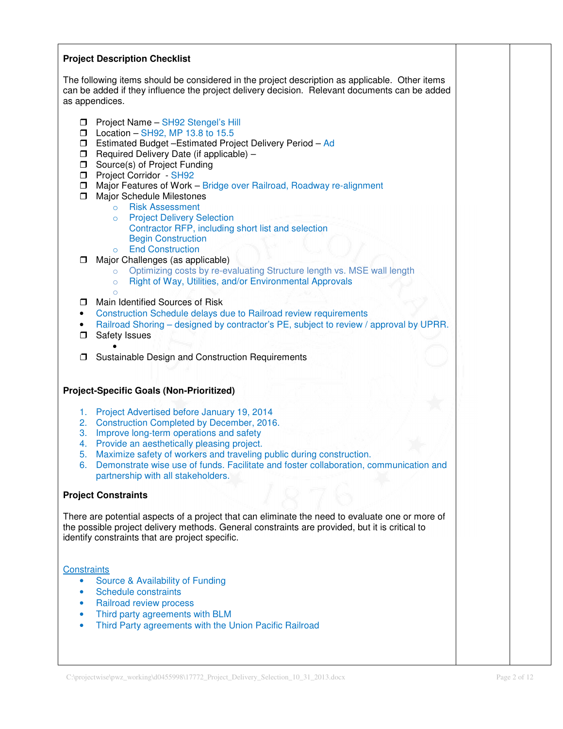## **Project Description Checklist**

The following items should be considered in the project description as applicable. Other items can be added if they influence the project delivery decision. Relevant documents can be added as appendices.

- **D** Project Name SH92 Stengel's Hill
- $\Box$  Location SH92, MP 13.8 to 15.5
- Estimated Budget –Estimated Project Delivery Period Ad
- $\Box$  Required Delivery Date (if applicable) –
- **Source(s) of Project Funding**
- **D** Project Corridor SH92
- $\Box$  Major Features of Work Bridge over Railroad, Roadway re-alignment
- $\Box$  Major Schedule Milestones
	- o Risk Assessment
		- o Project Delivery Selection Contractor RFP, including short list and selection Begin Construction
	- o End Construction
- $\Box$  Major Challenges (as applicable)
	- o Optimizing costs by re-evaluating Structure length vs. MSE wall length
	- o Right of Way, Utilities, and/or Environmental Approvals
- o  $\Box$  Main Identified Sources of Risk
- Construction Schedule delays due to Railroad review requirements
- Railroad Shoring designed by contractor's PE, subject to review / approval by UPRR.
- □ Safety Issues •
- $\Box$  Sustainable Design and Construction Requirements

## **Project-Specific Goals (Non-Prioritized)**

- 1. Project Advertised before January 19, 2014
- 2. Construction Completed by December, 2016.
- 3. Improve long-term operations and safety
- 4. Provide an aesthetically pleasing project.
- 5. Maximize safety of workers and traveling public during construction.
- 6. Demonstrate wise use of funds. Facilitate and foster collaboration, communication and partnership with all stakeholders.

## **Project Constraints**

There are potential aspects of a project that can eliminate the need to evaluate one or more of the possible project delivery methods. General constraints are provided, but it is critical to identify constraints that are project specific.

## **Constraints**

- Source & Availability of Funding
- Schedule constraints
- Railroad review process
- Third party agreements with BLM
- Third Party agreements with the Union Pacific Railroad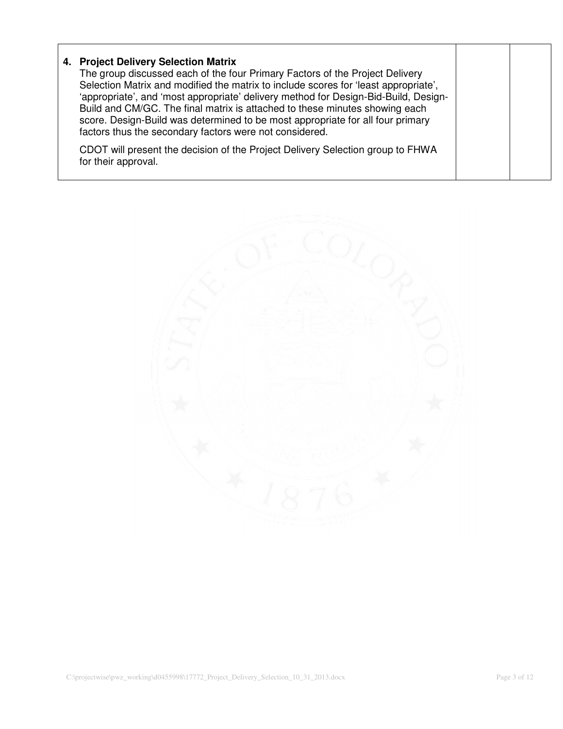| 4. Project Delivery Selection Matrix<br>The group discussed each of the four Primary Factors of the Project Delivery<br>Selection Matrix and modified the matrix to include scores for 'least appropriate',<br>'appropriate', and 'most appropriate' delivery method for Design-Bid-Build, Design-<br>Build and CM/GC. The final matrix is attached to these minutes showing each<br>score. Design-Build was determined to be most appropriate for all four primary<br>factors thus the secondary factors were not considered. |  |
|--------------------------------------------------------------------------------------------------------------------------------------------------------------------------------------------------------------------------------------------------------------------------------------------------------------------------------------------------------------------------------------------------------------------------------------------------------------------------------------------------------------------------------|--|
| CDOT will present the decision of the Project Delivery Selection group to FHWA<br>for their approval.                                                                                                                                                                                                                                                                                                                                                                                                                          |  |

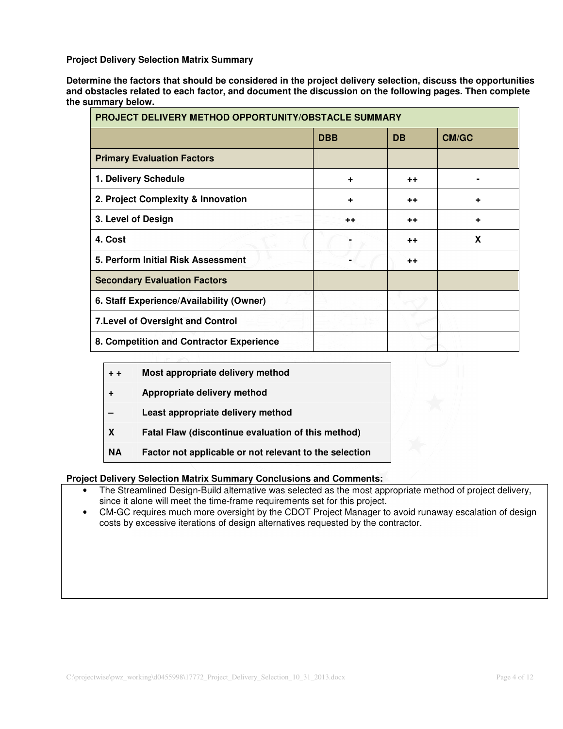**Project Delivery Selection Matrix Summary** 

**Determine the factors that should be considered in the project delivery selection, discuss the opportunities and obstacles related to each factor, and document the discussion on the following pages. Then complete the summary below.** 

| PROJECT DELIVERY METHOD OPPORTUNITY/OBSTACLE SUMMARY |                 |                 |              |
|------------------------------------------------------|-----------------|-----------------|--------------|
|                                                      | <b>DBB</b>      | <b>DB</b>       | <b>CM/GC</b> |
| <b>Primary Evaluation Factors</b>                    |                 |                 |              |
| 1. Delivery Schedule                                 | ÷               | $^{\mathrm{+}}$ |              |
| 2. Project Complexity & Innovation                   | ÷               | $+ +$           |              |
| 3. Level of Design                                   | $^{\mathrm{+}}$ | $^{\mathrm{+}}$ | ٠            |
| 4. Cost                                              |                 | $^{\mathrm{+}}$ | X            |
| 5. Perform Initial Risk Assessment                   |                 | $++$            |              |
| <b>Secondary Evaluation Factors</b>                  |                 |                 |              |
| 6. Staff Experience/Availability (Owner)             |                 |                 |              |
| 7. Level of Oversight and Control                    |                 |                 |              |
| 8. Competition and Contractor Experience             |                 |                 |              |

| $+ +$ | Most appropriate delivery method |
|-------|----------------------------------|
|-------|----------------------------------|

- **+ Appropriate delivery method**
- **Least appropriate delivery method**
- **X Fatal Flaw (discontinue evaluation of this method)**
- **NA Factor not applicable or not relevant to the selection**

## **Project Delivery Selection Matrix Summary Conclusions and Comments:**

- The Streamlined Design-Build alternative was selected as the most appropriate method of project delivery, since it alone will meet the time-frame requirements set for this project.
- CM-GC requires much more oversight by the CDOT Project Manager to avoid runaway escalation of design costs by excessive iterations of design alternatives requested by the contractor.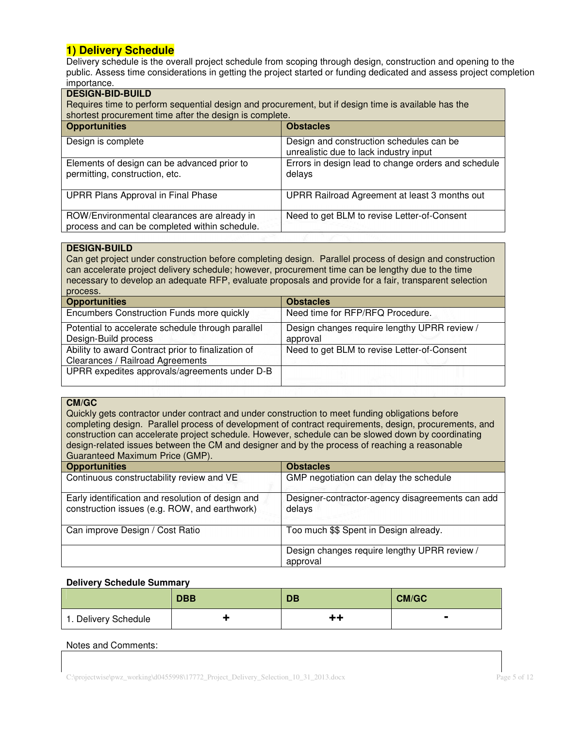## **1) Delivery Schedule**

Delivery schedule is the overall project schedule from scoping through design, construction and opening to the public. Assess time considerations in getting the project started or funding dedicated and assess project completion importance.

| <b>DESIGN-BID-BUILD</b><br>Requires time to perform sequential design and procurement, but if design time is available has the<br>shortest procurement time after the design is complete. |                                                                                    |  |
|-------------------------------------------------------------------------------------------------------------------------------------------------------------------------------------------|------------------------------------------------------------------------------------|--|
| <b>Opportunities</b><br><b>Obstacles</b>                                                                                                                                                  |                                                                                    |  |
| Design is complete                                                                                                                                                                        | Design and construction schedules can be<br>unrealistic due to lack industry input |  |
| Elements of design can be advanced prior to<br>permitting, construction, etc.                                                                                                             | Errors in design lead to change orders and schedule<br>delays                      |  |
| UPRR Plans Approval in Final Phase<br>UPRR Railroad Agreement at least 3 months out                                                                                                       |                                                                                    |  |
| ROW/Environmental clearances are already in<br>process and can be completed within schedule.                                                                                              | Need to get BLM to revise Letter-of-Consent                                        |  |

## **DESIGN-BUILD**

Can get project under construction before completing design. Parallel process of design and construction can accelerate project delivery schedule; however, procurement time can be lengthy due to the time necessary to develop an adequate RFP, evaluate proposals and provide for a fair, transparent selection process.

| <b>Opportunities</b>                                                                   | <b>Obstacles</b>                                         |
|----------------------------------------------------------------------------------------|----------------------------------------------------------|
| Encumbers Construction Funds more quickly                                              | Need time for RFP/RFQ Procedure.                         |
| Potential to accelerate schedule through parallel<br>Design-Build process              | Design changes require lengthy UPRR review /<br>approval |
| Ability to award Contract prior to finalization of<br>Clearances / Railroad Agreements | Need to get BLM to revise Letter-of-Consent              |
| UPRR expedites approvals/agreements under D-B                                          |                                                          |

## **CM/GC**

Quickly gets contractor under contract and under construction to meet funding obligations before completing design. Parallel process of development of contract requirements, design, procurements, and construction can accelerate project schedule. However, schedule can be slowed down by coordinating design-related issues between the CM and designer and by the process of reaching a reasonable Guaranteed Maximum Price (GMP).

| <b>Opportunities</b>                                                                               | <b>Obstacles</b>                                           |
|----------------------------------------------------------------------------------------------------|------------------------------------------------------------|
| Continuous constructability review and VE                                                          | GMP negotiation can delay the schedule                     |
| Early identification and resolution of design and<br>construction issues (e.g. ROW, and earthwork) | Designer-contractor-agency disagreements can add<br>delays |
| Can improve Design / Cost Ratio                                                                    | Too much \$\$ Spent in Design already.                     |
|                                                                                                    | Design changes require lengthy UPRR review /<br>approval   |

## **Delivery Schedule Summary**

|                      | <b>DBB</b> | <b>DB</b> | <b>CM/GC</b> |
|----------------------|------------|-----------|--------------|
| 1. Delivery Schedule |            | t٦        | ▬            |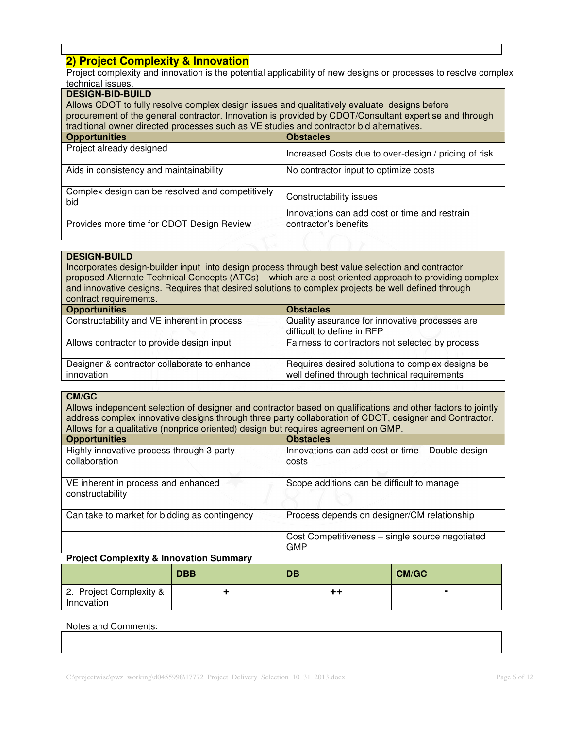## **2) Project Complexity & Innovation**

Project complexity and innovation is the potential applicability of new designs or processes to resolve complex technical issues.

| technical issues.                                                                                      |                                                                        |  |
|--------------------------------------------------------------------------------------------------------|------------------------------------------------------------------------|--|
| <b>DESIGN-BID-BUILD</b>                                                                                |                                                                        |  |
| Allows CDOT to fully resolve complex design issues and qualitatively evaluate designs before           |                                                                        |  |
| procurement of the general contractor. Innovation is provided by CDOT/Consultant expertise and through |                                                                        |  |
| traditional owner directed processes such as VE studies and contractor bid alternatives.               |                                                                        |  |
| <b>Opportunities</b><br><b>Obstacles</b>                                                               |                                                                        |  |
| Project already designed                                                                               | Increased Costs due to over-design / pricing of risk                   |  |
| Aids in consistency and maintainability                                                                | No contractor input to optimize costs                                  |  |
| Complex design can be resolved and competitively<br>bid                                                | Constructability issues                                                |  |
| Provides more time for CDOT Design Review                                                              | Innovations can add cost or time and restrain<br>contractor's benefits |  |
|                                                                                                        |                                                                        |  |

## **DESIGN-BUILD**

Incorporates design-builder input into design process through best value selection and contractor proposed Alternate Technical Concepts (ATCs) – which are a cost oriented approach to providing complex and innovative designs. Requires that desired solutions to complex projects be well defined through contract requirements.

| <b>Opportunities</b>                                       | <b>Obstacles</b>                                                                                |
|------------------------------------------------------------|-------------------------------------------------------------------------------------------------|
| Constructability and VE inherent in process                | Quality assurance for innovative processes are<br>difficult to define in RFP                    |
| Allows contractor to provide design input                  | Fairness to contractors not selected by process                                                 |
| Designer & contractor collaborate to enhance<br>innovation | Requires desired solutions to complex designs be<br>well defined through technical requirements |

## **CM/GC**

Allows independent selection of designer and contractor based on qualifications and other factors to jointly address complex innovative designs through three party collaboration of CDOT, designer and Contractor. Allows for a qualitative (nonprice oriented) design but requires agreement on GMP.

| <b>Opportunities</b>                                       | <b>Obstacles</b>                                              |
|------------------------------------------------------------|---------------------------------------------------------------|
| Highly innovative process through 3 party<br>collaboration | Innovations can add cost or time - Double design<br>costs     |
| VE inherent in process and enhanced<br>constructability    | Scope additions can be difficult to manage                    |
| Can take to market for bidding as contingency              | Process depends on designer/CM relationship                   |
|                                                            | Cost Competitiveness - single source negotiated<br><b>GMP</b> |

## **Project Complexity & Innovation Summary**

|                                       | <b>DBB</b> | DB | <b>CM/GC</b> |
|---------------------------------------|------------|----|--------------|
| 2. Project Complexity &<br>Innovation |            | ++ |              |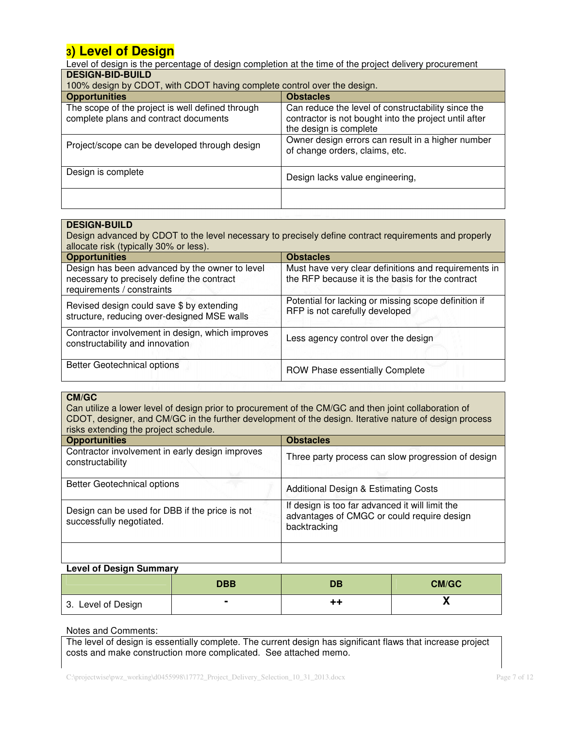## **3) Level of Design**

Level of design is the percentage of design completion at the time of the project delivery procurement **DESIGN-BID-BUILD**

| 100% design by CDOT, with CDOT having complete control over the design.                   |                                                                                                                                       |  |
|-------------------------------------------------------------------------------------------|---------------------------------------------------------------------------------------------------------------------------------------|--|
| <b>Opportunities</b>                                                                      | <b>Obstacles</b>                                                                                                                      |  |
| The scope of the project is well defined through<br>complete plans and contract documents | Can reduce the level of constructability since the<br>contractor is not bought into the project until after<br>the design is complete |  |
| Project/scope can be developed through design                                             | Owner design errors can result in a higher number<br>of change orders, claims, etc.                                                   |  |
| Design is complete                                                                        | Design lacks value engineering,                                                                                                       |  |
|                                                                                           |                                                                                                                                       |  |

# **DESIGN-BUILD**

Design advanced by CDOT to the level necessary to precisely define contract requirements and properly allocate risk (typically 30% or less). **Opportunities Obstacles**

| <b>UPPULLUITUUS</b>                                                                                                        | UUSIQUIES                                                                                                |
|----------------------------------------------------------------------------------------------------------------------------|----------------------------------------------------------------------------------------------------------|
| Design has been advanced by the owner to level<br>necessary to precisely define the contract<br>requirements / constraints | Must have very clear definitions and requirements in<br>the RFP because it is the basis for the contract |
| Revised design could save \$ by extending<br>structure, reducing over-designed MSE walls                                   | Potential for lacking or missing scope definition if<br>RFP is not carefully developed                   |
| Contractor involvement in design, which improves<br>constructability and innovation                                        | Less agency control over the design                                                                      |
| Better Geotechnical options                                                                                                | ROW Phase essentially Complete                                                                           |

## **CM/GC**

Can utilize a lower level of design prior to procurement of the CM/GC and then joint collaboration of CDOT, designer, and CM/GC in the further development of the design. Iterative nature of design process risks extending the project schedule.

| <b>TISKS EXTERIORITY THE DIVIECT SUFFICIALS.</b>                           |                                                                                                               |  |
|----------------------------------------------------------------------------|---------------------------------------------------------------------------------------------------------------|--|
| <b>Opportunities</b>                                                       | <b>Obstacles</b>                                                                                              |  |
| Contractor involvement in early design improves<br>constructability        | Three party process can slow progression of design                                                            |  |
| <b>Better Geotechnical options</b>                                         | <b>Additional Design &amp; Estimating Costs</b>                                                               |  |
| Design can be used for DBB if the price is not<br>successfully negotiated. | If design is too far advanced it will limit the<br>advantages of CMGC or could require design<br>backtracking |  |
|                                                                            |                                                                                                               |  |

## **Level of Design Summary**

|                    | <b>DBB</b> | <b>DB</b> | <b>CM/GC</b> |
|--------------------|------------|-----------|--------------|
| 3. Level of Design |            |           |              |

## Notes and Comments:

The level of design is essentially complete. The current design has significant flaws that increase project costs and make construction more complicated. See attached memo.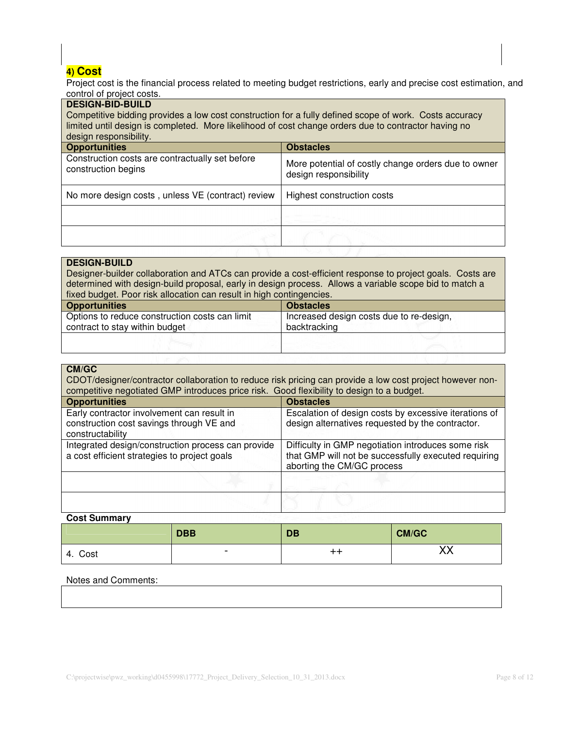## **4) Cost**

Project cost is the financial process related to meeting budget restrictions, early and precise cost estimation, and control of project costs.

| <b>DESIGN-BID-BUILD</b><br>Competitive bidding provides a low cost construction for a fully defined scope of work. Costs accuracy<br>limited until design is completed. More likelihood of cost change orders due to contractor having no<br>design responsibility. |                                                                              |  |
|---------------------------------------------------------------------------------------------------------------------------------------------------------------------------------------------------------------------------------------------------------------------|------------------------------------------------------------------------------|--|
| <b>Opportunities</b><br><b>Obstacles</b>                                                                                                                                                                                                                            |                                                                              |  |
| Construction costs are contractually set before<br>construction begins                                                                                                                                                                                              | More potential of costly change orders due to owner<br>design responsibility |  |
| No more design costs, unless VE (contract) review                                                                                                                                                                                                                   | Highest construction costs                                                   |  |
|                                                                                                                                                                                                                                                                     |                                                                              |  |
|                                                                                                                                                                                                                                                                     |                                                                              |  |

## **DESIGN-BUILD**

Designer-builder collaboration and ATCs can provide a cost-efficient response to project goals. Costs are determined with design-build proposal, early in design process. Allows a variable scope bid to match a fixed budget. Poor risk allocation can result in high contingencies.

| <b>Opportunities</b>                                                             | <b>Obstacles</b>                                         |
|----------------------------------------------------------------------------------|----------------------------------------------------------|
| Options to reduce construction costs can limit<br>contract to stay within budget | Increased design costs due to re-design,<br>backtracking |
|                                                                                  |                                                          |

## **CM/GC**

CDOT/designer/contractor collaboration to reduce risk pricing can provide a low cost project however noncompetitive negotiated GMP introduces price risk. Good flexibility to design to a budget.

| <b>Opportunities</b>                                                                                       | <b>Obstacles</b>                                                                                                                         |
|------------------------------------------------------------------------------------------------------------|------------------------------------------------------------------------------------------------------------------------------------------|
| Early contractor involvement can result in<br>construction cost savings through VE and<br>constructability | Escalation of design costs by excessive iterations of<br>design alternatives requested by the contractor.                                |
| Integrated design/construction process can provide<br>a cost efficient strategies to project goals         | Difficulty in GMP negotiation introduces some risk<br>that GMP will not be successfully executed requiring<br>aborting the CM/GC process |
|                                                                                                            |                                                                                                                                          |
|                                                                                                            |                                                                                                                                          |

## **Cost Summary**

|            | <b>DBB</b>               | <b>DB</b>       | CM/GC                  |
|------------|--------------------------|-----------------|------------------------|
| Cost<br>4. | $\overline{\phantom{0}}$ | $^{\mathrm{+}}$ | vv<br>$\Lambda\Lambda$ |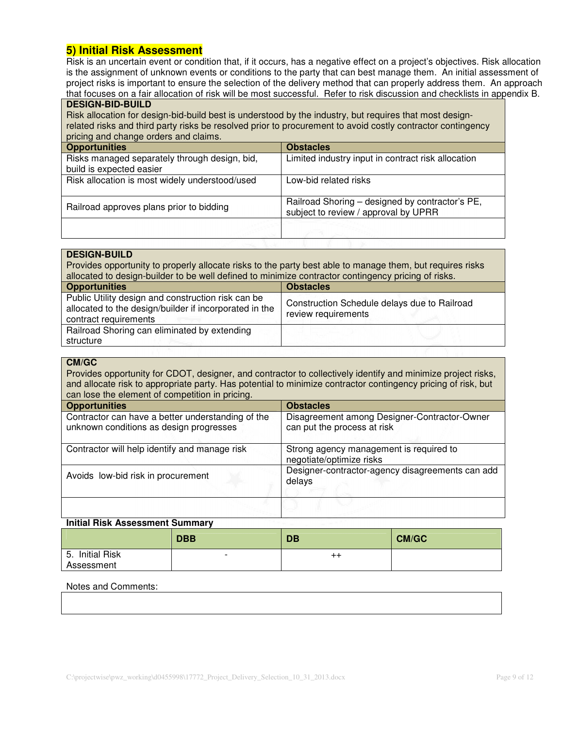## **5) Initial Risk Assessment**

Risk is an uncertain event or condition that, if it occurs, has a negative effect on a project's objectives. Risk allocation is the assignment of unknown events or conditions to the party that can best manage them. An initial assessment of project risks is important to ensure the selection of the delivery method that can properly address them. An approach that focuses on a fair allocation of risk will be most successful. Refer to risk discussion and checklists in appendix B.

## **DESIGN-BID-BUILD**

Risk allocation for design-bid-build best is understood by the industry, but requires that most designrelated risks and third party risks be resolved prior to procurement to avoid costly contractor contingency pricing and change orders and claims.

| prioring and criange cracic and cramic.        |                                                    |  |
|------------------------------------------------|----------------------------------------------------|--|
| <b>Opportunities</b>                           | <b>Obstacles</b>                                   |  |
| Risks managed separately through design, bid,  | Limited industry input in contract risk allocation |  |
| build is expected easier                       |                                                    |  |
| Risk allocation is most widely understood/used | Low-bid related risks                              |  |
|                                                |                                                    |  |
|                                                | Railroad Shoring - designed by contractor's PE,    |  |
| Railroad approves plans prior to bidding       | subject to review / approval by UPRR               |  |
|                                                |                                                    |  |
|                                                |                                                    |  |

## **DESIGN-BUILD**

| Provides opportunity to properly allocate risks to the party best able to manage them, but requires risks<br>allocated to design-builder to be well defined to minimize contractor contingency pricing of risks. |                                                                     |  |
|------------------------------------------------------------------------------------------------------------------------------------------------------------------------------------------------------------------|---------------------------------------------------------------------|--|
| <b>Opportunities</b><br><b>Obstacles</b>                                                                                                                                                                         |                                                                     |  |
| Public Utility design and construction risk can be<br>allocated to the design/builder if incorporated in the<br>contract requirements                                                                            | Construction Schedule delays due to Railroad<br>review requirements |  |
| Railroad Shoring can eliminated by extending<br>structure                                                                                                                                                        |                                                                     |  |

## **CM/GC**

Provides opportunity for CDOT, designer, and contractor to collectively identify and minimize project risks, and allocate risk to appropriate party. Has potential to minimize contractor contingency pricing of risk, but can lose the element of competition in pricing.

| <b>Opportunities</b>                                                                         | <b>Obstacles</b>                                                            |
|----------------------------------------------------------------------------------------------|-----------------------------------------------------------------------------|
| Contractor can have a better understanding of the<br>unknown conditions as design progresses | Disagreement among Designer-Contractor-Owner<br>can put the process at risk |
| Contractor will help identify and manage risk                                                | Strong agency management is required to<br>negotiate/optimize risks         |
| Avoids low-bid risk in procurement                                                           | Designer-contractor-agency disagreements can add<br>delays                  |
|                                                                                              |                                                                             |

## **Initial Risk Assessment Summary**

|                               | <b>DBB</b>     | DB              | <b>CM/GC</b> |
|-------------------------------|----------------|-----------------|--------------|
| 5. Initial Risk<br>Assessment | $\blacksquare$ | $^{\mathrm{+}}$ |              |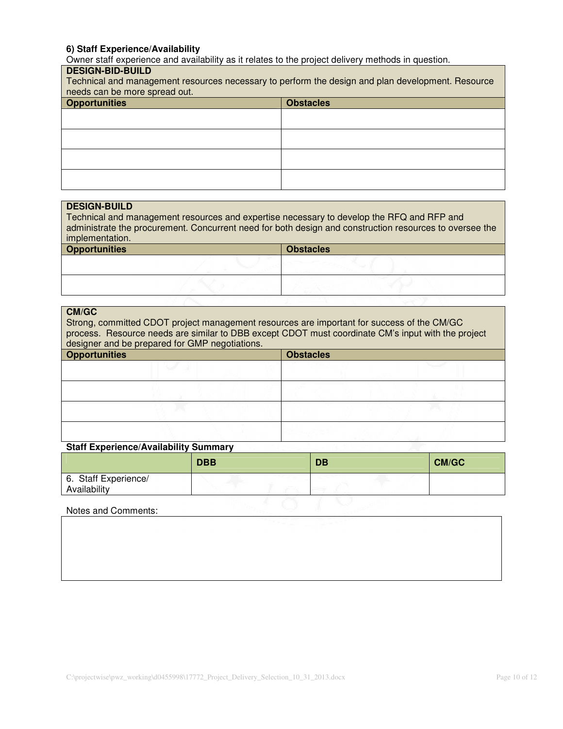## **6) Staff Experience/Availability**

Owner staff experience and availability as it relates to the project delivery methods in question.

## **DESIGN-BID-BUILD**

| Technical and management resources necessary to perform the design and plan development. Resource<br>needs can be more spread out. |                  |  |  |
|------------------------------------------------------------------------------------------------------------------------------------|------------------|--|--|
| <b>Opportunities</b>                                                                                                               | <b>Obstacles</b> |  |  |
|                                                                                                                                    |                  |  |  |
|                                                                                                                                    |                  |  |  |
|                                                                                                                                    |                  |  |  |
|                                                                                                                                    |                  |  |  |
|                                                                                                                                    |                  |  |  |
|                                                                                                                                    |                  |  |  |
|                                                                                                                                    |                  |  |  |
|                                                                                                                                    |                  |  |  |

| <b>DESIGN-BUILD</b>                                                                       |                                                                                                         |
|-------------------------------------------------------------------------------------------|---------------------------------------------------------------------------------------------------------|
|                                                                                           |                                                                                                         |
| Technical and management resources and expertise necessary to develop the RFQ and RFP and |                                                                                                         |
|                                                                                           | administrate the procurement. Concurrent need for both design and construction resources to oversee the |
| implementation.                                                                           |                                                                                                         |
|                                                                                           |                                                                                                         |
| <b>Opportunities</b>                                                                      | <b>Obstacles</b>                                                                                        |
|                                                                                           |                                                                                                         |
|                                                                                           |                                                                                                         |
|                                                                                           |                                                                                                         |
|                                                                                           |                                                                                                         |
|                                                                                           |                                                                                                         |

#### **CM/GC**

Strong, committed CDOT project management resources are important for success of the CM/GC process. Resource needs are similar to DBB except CDOT must coordinate CM's input with the project designer and be prepared for GMP negotiations.

| <b>Opportunities</b> | <b>Obstacles</b> |
|----------------------|------------------|
|                      |                  |
|                      |                  |
|                      |                  |
|                      |                  |
|                      |                  |
|                      |                  |

## **Staff Experience/Availability Summary**

|                                      | <b>DBB</b> | <b>DB</b> | <b>CM/GC</b> |
|--------------------------------------|------------|-----------|--------------|
| 6. Staff Experience/<br>Availability |            |           |              |
| Notes and Comments:                  |            |           |              |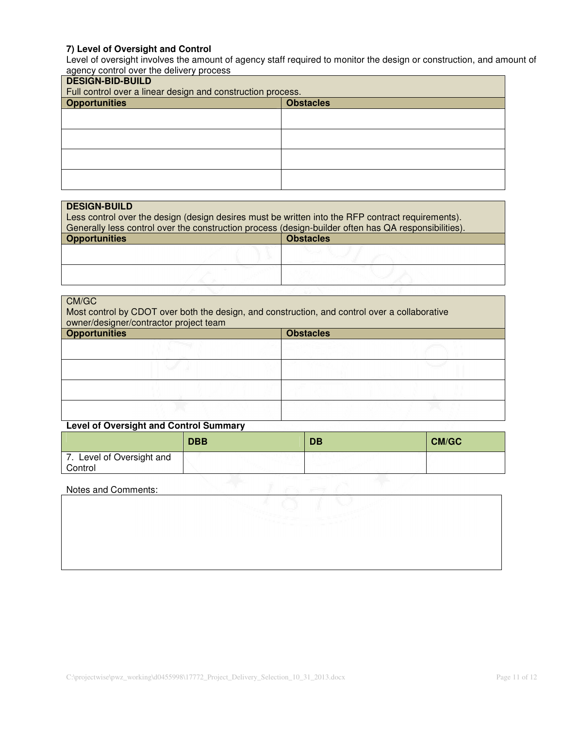## **7) Level of Oversight and Control**

Level of oversight involves the amount of agency staff required to monitor the design or construction, and amount of agency control over the delivery process

| <b>DESIGN-BID-BUILD</b><br>Full control over a linear design and construction process. |                  |  |  |
|----------------------------------------------------------------------------------------|------------------|--|--|
| <b>Opportunities</b>                                                                   | <b>Obstacles</b> |  |  |
|                                                                                        |                  |  |  |
|                                                                                        |                  |  |  |
|                                                                                        |                  |  |  |
|                                                                                        |                  |  |  |
|                                                                                        |                  |  |  |
|                                                                                        |                  |  |  |

| <b>DESIGN-BUILD</b>                                                                                  |                  |
|------------------------------------------------------------------------------------------------------|------------------|
| Less control over the design (design desires must be written into the RFP contract requirements).    |                  |
|                                                                                                      |                  |
| Generally less control over the construction process (design-builder often has QA responsibilities). |                  |
| <b>Opportunities</b>                                                                                 | <b>Obstacles</b> |
|                                                                                                      |                  |
|                                                                                                      |                  |
|                                                                                                      |                  |
|                                                                                                      |                  |

## CM/GC

Most control by CDOT over both the design, and construction, and control over a collaborative owner/designer/contractor project team

| <b>Opportunities</b> |  | <b>Obstacles</b> |
|----------------------|--|------------------|
|                      |  |                  |
|                      |  |                  |
|                      |  |                  |
|                      |  |                  |

## **Level of Oversight and Control Summary**

|                                      | <b>DBB</b> | <b>DB</b> | <b>CM/GC</b> |
|--------------------------------------|------------|-----------|--------------|
| 7. Level of Oversight and<br>Control |            |           |              |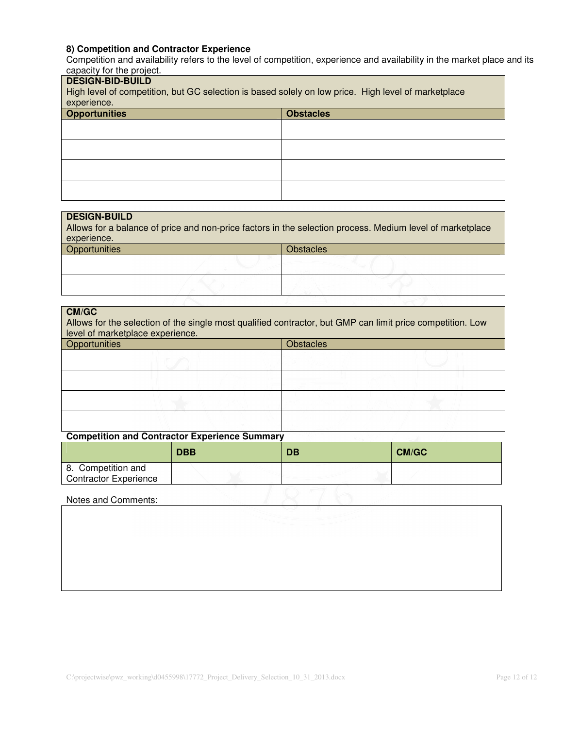## **8) Competition and Contractor Experience**

Competition and availability refers to the level of competition, experience and availability in the market place and its capacity for the project.

# **DESIGN-BID-BUILD** High level of competition, but GC selection is based solely on low price. High level of marketplace experience. **Opportunities Opportunities Opportunities Opportunities Opportunities**

#### **DESIGN-BUILD**

Allows for a balance of price and non-price factors in the selection process. Medium level of marketplace experience.

| Opportunities | Obstacles |
|---------------|-----------|
|               |           |
|               |           |

#### **CM/GC**

Allows for the selection of the single most qualified contractor, but GMP can limit price competition. Low level of marketplace experience.

| Opportunities |  | <b>Obstacles</b> |  |  |
|---------------|--|------------------|--|--|
|               |  |                  |  |  |
|               |  |                  |  |  |
|               |  |                  |  |  |
|               |  |                  |  |  |

## **Competition and Contractor Experience Summary**

|                                             | <b>DBB</b> | DB | <b>CM/GC</b> |
|---------------------------------------------|------------|----|--------------|
| 8. Competition and<br>Contractor Experience |            |    |              |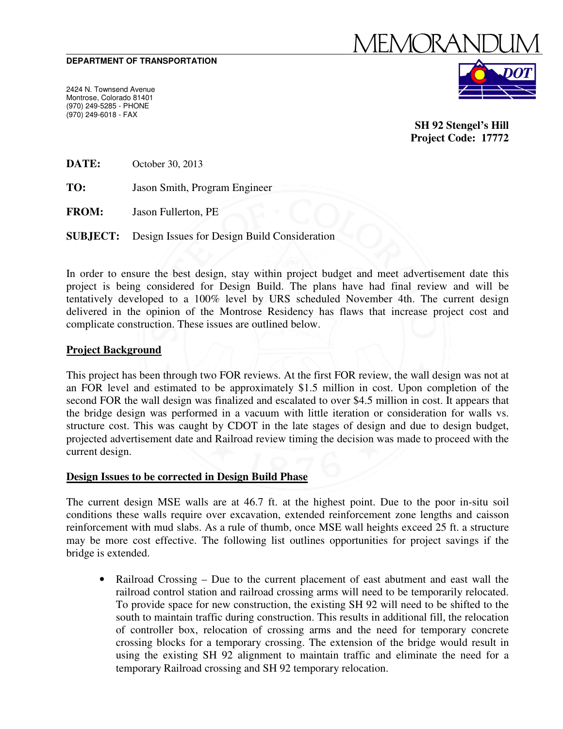#### **DEPARTMENT OF TRANSPORTATION**

2424 N. Townsend Avenue Montrose, Colorado 81401 (970) 249-5285 - PHONE (970) 249-6018 - FAX



**SH 92 Stengel's Hill Project Code: 17772** 

**DATE:** October 30, 2013

**TO:** Jason Smith, Program Engineer

**FROM:** Jason Fullerton, PE

**SUBJECT:** Design Issues for Design Build Consideration

In order to ensure the best design, stay within project budget and meet advertisement date this project is being considered for Design Build. The plans have had final review and will be tentatively developed to a 100% level by URS scheduled November 4th. The current design delivered in the opinion of the Montrose Residency has flaws that increase project cost and complicate construction. These issues are outlined below.

## **Project Background**

This project has been through two FOR reviews. At the first FOR review, the wall design was not at an FOR level and estimated to be approximately \$1.5 million in cost. Upon completion of the second FOR the wall design was finalized and escalated to over \$4.5 million in cost. It appears that the bridge design was performed in a vacuum with little iteration or consideration for walls vs. structure cost. This was caught by CDOT in the late stages of design and due to design budget, projected advertisement date and Railroad review timing the decision was made to proceed with the current design.

## **Design Issues to be corrected in Design Build Phase**

The current design MSE walls are at 46.7 ft. at the highest point. Due to the poor in-situ soil conditions these walls require over excavation, extended reinforcement zone lengths and caisson reinforcement with mud slabs. As a rule of thumb, once MSE wall heights exceed 25 ft. a structure may be more cost effective. The following list outlines opportunities for project savings if the bridge is extended.

• Railroad Crossing – Due to the current placement of east abutment and east wall the railroad control station and railroad crossing arms will need to be temporarily relocated. To provide space for new construction, the existing SH 92 will need to be shifted to the south to maintain traffic during construction. This results in additional fill, the relocation of controller box, relocation of crossing arms and the need for temporary concrete crossing blocks for a temporary crossing. The extension of the bridge would result in using the existing SH 92 alignment to maintain traffic and eliminate the need for a temporary Railroad crossing and SH 92 temporary relocation.